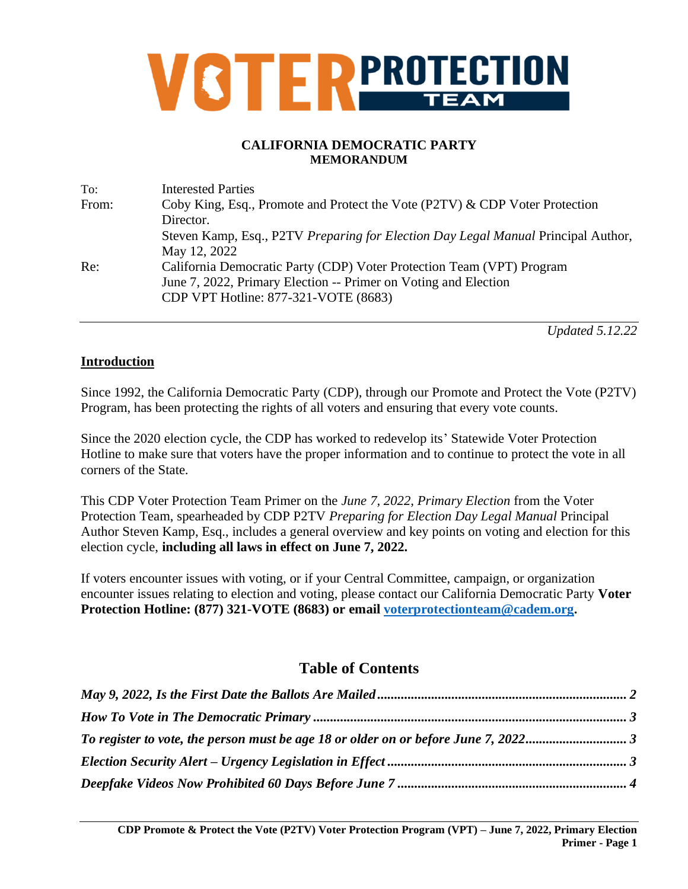

#### **CALIFORNIA DEMOCRATIC PARTY MEMORANDUM**

| <b>Interested Parties</b>                                                         |
|-----------------------------------------------------------------------------------|
| Coby King, Esq., Promote and Protect the Vote (P2TV) & CDP Voter Protection       |
| Director.                                                                         |
| Steven Kamp, Esq., P2TV Preparing for Election Day Legal Manual Principal Author, |
| May 12, 2022                                                                      |
| California Democratic Party (CDP) Voter Protection Team (VPT) Program             |
| June 7, 2022, Primary Election -- Primer on Voting and Election                   |
| CDP VPT Hotline: 877-321-VOTE (8683)                                              |
|                                                                                   |

*Updated 5.12.22*

#### **Introduction**

Since 1992, the California Democratic Party (CDP), through our Promote and Protect the Vote (P2TV) Program, has been protecting the rights of all voters and ensuring that every vote counts.

Since the 2020 election cycle, the CDP has worked to redevelop its' Statewide Voter Protection Hotline to make sure that voters have the proper information and to continue to protect the vote in all corners of the State.

This CDP Voter Protection Team Primer on the *June 7, 2022, Primary Election* from the Voter Protection Team, spearheaded by CDP P2TV *Preparing for Election Day Legal Manual* Principal Author Steven Kamp, Esq., includes a general overview and key points on voting and election for this election cycle, **including all laws in effect on June 7, 2022.**

If voters encounter issues with voting, or if your Central Committee, campaign, or organization encounter issues relating to election and voting, please contact our California Democratic Party **Voter Protection Hotline: (877) 321-VOTE (8683) or email [voterprotectionteam@cadem.org.](mailto:voterprotectionteam@cadem.org)**

# **Table of Contents**

| To register to vote, the person must be age 18 or older on or before June 7, 20223 |  |
|------------------------------------------------------------------------------------|--|
|                                                                                    |  |
|                                                                                    |  |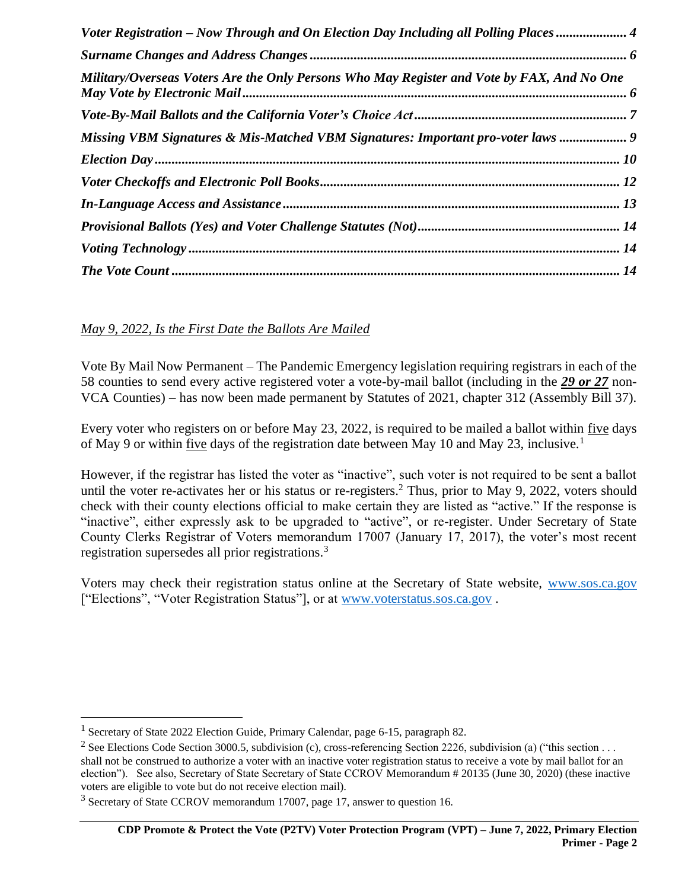| Voter Registration – Now Through and On Election Day Including all Polling Places          |  |
|--------------------------------------------------------------------------------------------|--|
|                                                                                            |  |
| Military/Overseas Voters Are the Only Persons Who May Register and Vote by FAX, And No One |  |
|                                                                                            |  |
| Missing VBM Signatures & Mis-Matched VBM Signatures: Important pro-voter laws  9           |  |
|                                                                                            |  |
|                                                                                            |  |
|                                                                                            |  |
|                                                                                            |  |
|                                                                                            |  |
|                                                                                            |  |

# <span id="page-1-0"></span>*May 9, 2022, Is the First Date the Ballots Are Mailed*

Vote By Mail Now Permanent – The Pandemic Emergency legislation requiring registrars in each of the 58 counties to send every active registered voter a vote-by-mail ballot (including in the *29 or 27* non-VCA Counties) – has now been made permanent by Statutes of 2021, chapter 312 (Assembly Bill 37).

Every voter who registers on or before May 23, 2022, is required to be mailed a ballot within five days of May 9 or within five days of the registration date between May 10 and May 23, inclusive.<sup>1</sup>

However, if the registrar has listed the voter as "inactive", such voter is not required to be sent a ballot until the voter re-activates her or his status or re-registers.<sup>2</sup> Thus, prior to May 9, 2022, voters should check with their county elections official to make certain they are listed as "active." If the response is "inactive", either expressly ask to be upgraded to "active", or re-register. Under Secretary of State County Clerks Registrar of Voters memorandum 17007 (January 17, 2017), the voter's most recent registration supersedes all prior registrations.<sup>3</sup>

Voters may check their registration status online at the Secretary of State website, [www.sos.ca.gov](http://www.sos.ca.gov/) ["Elections", "Voter Registration Status"], or at [www.voterstatus.sos.ca.gov](http://www.voterstatus.sos.ca.gov/) .

<sup>&</sup>lt;sup>1</sup> Secretary of State 2022 Election Guide, Primary Calendar, page 6-15, paragraph 82.

<sup>&</sup>lt;sup>2</sup> See Elections Code Section 3000.5, subdivision (c), cross-referencing Section 2226, subdivision (a) ("this section . . . shall not be construed to authorize a voter with an inactive voter registration status to receive a vote by mail ballot for an election"). See also, Secretary of State Secretary of State CCROV Memorandum # 20135 (June 30, 2020) (these inactive voters are eligible to vote but do not receive election mail).

<sup>3</sup> Secretary of State CCROV memorandum 17007, page 17, answer to question 16.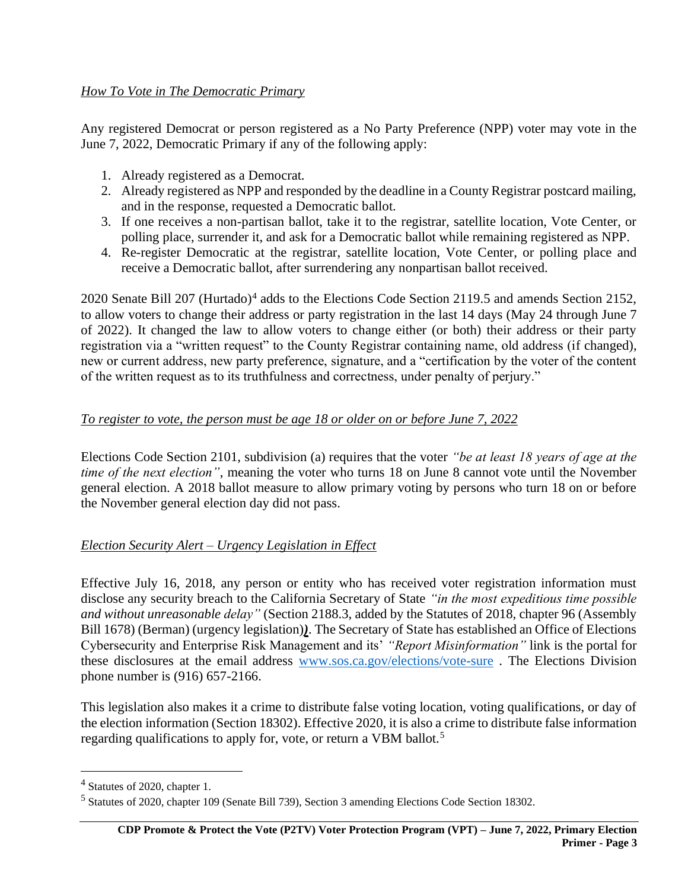<span id="page-2-0"></span>Any registered Democrat or person registered as a No Party Preference (NPP) voter may vote in the June 7, 2022, Democratic Primary if any of the following apply:

- 1. Already registered as a Democrat.
- 2. Already registered as NPP and responded by the deadline in a County Registrar postcard mailing, and in the response, requested a Democratic ballot.
- 3. If one receives a non-partisan ballot, take it to the registrar, satellite location, Vote Center, or polling place, surrender it, and ask for a Democratic ballot while remaining registered as NPP.
- 4. Re-register Democratic at the registrar, satellite location, Vote Center, or polling place and receive a Democratic ballot, after surrendering any nonpartisan ballot received.

2020 Senate Bill 207 (Hurtado)<sup>4</sup> adds to the Elections Code Section 2119.5 and amends Section 2152, to allow voters to change their address or party registration in the last 14 days (May 24 through June 7 of 2022). It changed the law to allow voters to change either (or both) their address or their party registration via a "written request" to the County Registrar containing name, old address (if changed), new or current address, new party preference, signature, and a "certification by the voter of the content of the written request as to its truthfulness and correctness, under penalty of perjury."

#### <span id="page-2-1"></span>*To register to vote, the person must be age 18 or older on or before June 7, 2022*

Elections Code Section 2101, subdivision (a) requires that the voter *"be at least 18 years of age at the time of the next election"*, meaning the voter who turns 18 on June 8 cannot vote until the November general election. A 2018 ballot measure to allow primary voting by persons who turn 18 on or before the November general election day did not pass.

#### <span id="page-2-2"></span>*Election Security Alert – Urgency Legislation in Effect*

Effective July 16, 2018, any person or entity who has received voter registration information must disclose any security breach to the California Secretary of State *"in the most expeditious time possible and without unreasonable delay"* (Section 2188.3, added by the Statutes of 2018, chapter 96 (Assembly Bill 1678) (Berman) (urgency legislation)*)*. The Secretary of State has established an Office of Elections Cybersecurity and Enterprise Risk Management and its' *"Report Misinformation"* link is the portal for these disclosures at the email address [www.sos.ca.gov/elections/vote-sure](http://www.sos.ca.gov/elections/vote-sure) . The Elections Division phone number is (916) 657-2166.

This legislation also makes it a crime to distribute false voting location, voting qualifications, or day of the election information (Section 18302). Effective 2020, it is also a crime to distribute false information regarding qualifications to apply for, vote, or return a VBM ballot.<sup>5</sup>

<sup>4</sup> Statutes of 2020, chapter 1.

<sup>5</sup> Statutes of 2020, chapter 109 (Senate Bill 739), Section 3 amending Elections Code Section 18302.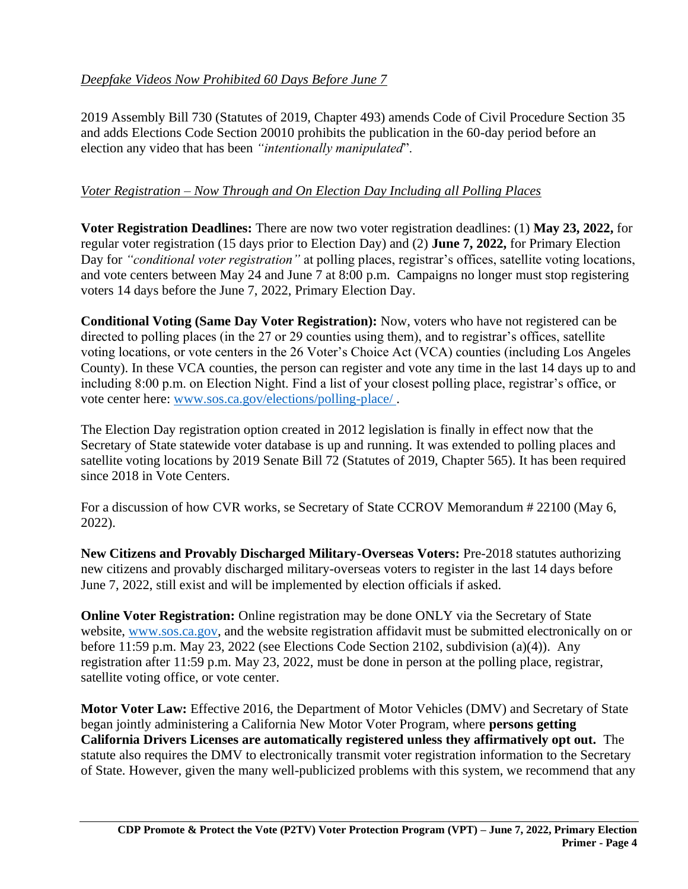# <span id="page-3-0"></span>*Deepfake Videos Now Prohibited 60 Days Before June 7*

2019 Assembly Bill 730 (Statutes of 2019, Chapter 493) amends Code of Civil Procedure Section 35 and adds Elections Code Section 20010 prohibits the publication in the 60-day period before an election any video that has been *"intentionally manipulated*".

# <span id="page-3-1"></span>*Voter Registration – Now Through and On Election Day Including all Polling Places*

**Voter Registration Deadlines:** There are now two voter registration deadlines: (1) **May 23, 2022,** for regular voter registration (15 days prior to Election Day) and (2) **June 7, 2022,** for Primary Election Day for *"conditional voter registration"* at polling places, registrar's offices, satellite voting locations, and vote centers between May 24 and June 7 at 8:00 p.m. Campaigns no longer must stop registering voters 14 days before the June 7, 2022, Primary Election Day.

**Conditional Voting (Same Day Voter Registration):** Now, voters who have not registered can be directed to polling places (in the 27 or 29 counties using them), and to registrar's offices, satellite voting locations, or vote centers in the 26 Voter's Choice Act (VCA) counties (including Los Angeles County). In these VCA counties, the person can register and vote any time in the last 14 days up to and including 8:00 p.m. on Election Night. Find a list of your closest polling place, registrar's office, or vote center here: [www.sos.ca.gov/elections/polling-place/](http://www.sos.ca.gov/elections/polling-place/) .

The Election Day registration option created in 2012 legislation is finally in effect now that the Secretary of State statewide voter database is up and running. It was extended to polling places and satellite voting locations by 2019 Senate Bill 72 (Statutes of 2019, Chapter 565). It has been required since 2018 in Vote Centers.

For a discussion of how CVR works, se Secretary of State CCROV Memorandum # 22100 (May 6, 2022).

**New Citizens and Provably Discharged Military-Overseas Voters:** Pre-2018 statutes authorizing new citizens and provably discharged military-overseas voters to register in the last 14 days before June 7, 2022, still exist and will be implemented by election officials if asked.

**Online Voter Registration:** Online registration may be done ONLY via the Secretary of State website, [www.sos.ca.gov,](http://www.sos.ca.gov/) and the website registration affidavit must be submitted electronically on or before 11:59 p.m. May 23, 2022 (see Elections Code Section 2102, subdivision (a)(4)). Any registration after 11:59 p.m. May 23, 2022, must be done in person at the polling place, registrar, satellite voting office, or vote center.

**Motor Voter Law:** Effective 2016, the Department of Motor Vehicles (DMV) and Secretary of State began jointly administering a California New Motor Voter Program, where **persons getting California Drivers Licenses are automatically registered unless they affirmatively opt out.** The statute also requires the DMV to electronically transmit voter registration information to the Secretary of State. However, given the many well-publicized problems with this system, we recommend that any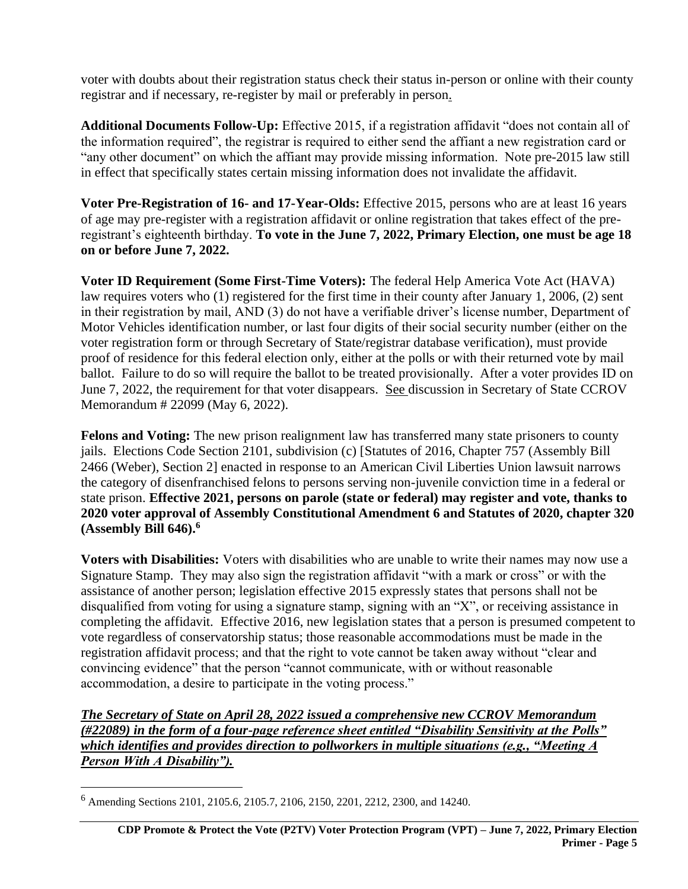voter with doubts about their registration status check their status in-person or online with their county registrar and if necessary, re-register by mail or preferably in person.

**Additional Documents Follow-Up:** Effective 2015, if a registration affidavit "does not contain all of the information required", the registrar is required to either send the affiant a new registration card or "any other document" on which the affiant may provide missing information. Note pre-2015 law still in effect that specifically states certain missing information does not invalidate the affidavit.

**Voter Pre-Registration of 16- and 17-Year-Olds:** Effective 2015, persons who are at least 16 years of age may pre-register with a registration affidavit or online registration that takes effect of the preregistrant's eighteenth birthday. **To vote in the June 7, 2022, Primary Election, one must be age 18 on or before June 7, 2022.** 

**Voter ID Requirement (Some First-Time Voters):** The federal Help America Vote Act (HAVA) law requires voters who (1) registered for the first time in their county after January 1, 2006, (2) sent in their registration by mail, AND (3) do not have a verifiable driver's license number, Department of Motor Vehicles identification number, or last four digits of their social security number (either on the voter registration form or through Secretary of State/registrar database verification), must provide proof of residence for this federal election only, either at the polls or with their returned vote by mail ballot. Failure to do so will require the ballot to be treated provisionally. After a voter provides ID on June 7, 2022, the requirement for that voter disappears. See discussion in Secretary of State CCROV Memorandum # 22099 (May 6, 2022).

**Felons and Voting:** The new prison realignment law has transferred many state prisoners to county jails. Elections Code Section 2101, subdivision (c) [Statutes of 2016, Chapter 757 (Assembly Bill 2466 (Weber), Section 2] enacted in response to an American Civil Liberties Union lawsuit narrows the category of disenfranchised felons to persons serving non-juvenile conviction time in a federal or state prison. **Effective 2021, persons on parole (state or federal) may register and vote, thanks to 2020 voter approval of Assembly Constitutional Amendment 6 and Statutes of 2020, chapter 320 (Assembly Bill 646).<sup>6</sup>** 

**Voters with Disabilities:** Voters with disabilities who are unable to write their names may now use a Signature Stamp. They may also sign the registration affidavit "with a mark or cross" or with the assistance of another person; legislation effective 2015 expressly states that persons shall not be disqualified from voting for using a signature stamp, signing with an "X", or receiving assistance in completing the affidavit. Effective 2016, new legislation states that a person is presumed competent to vote regardless of conservatorship status; those reasonable accommodations must be made in the registration affidavit process; and that the right to vote cannot be taken away without "clear and convincing evidence" that the person "cannot communicate, with or without reasonable accommodation, a desire to participate in the voting process."

*The Secretary of State on April 28, 2022 issued a comprehensive new CCROV Memorandum (#22089) in the form of a four-page reference sheet entitled "Disability Sensitivity at the Polls" which identifies and provides direction to pollworkers in multiple situations (e.g., "Meeting A Person With A Disability").* 

<sup>6</sup> Amending Sections 2101, 2105.6, 2105.7, 2106, 2150, 2201, 2212, 2300, and 14240.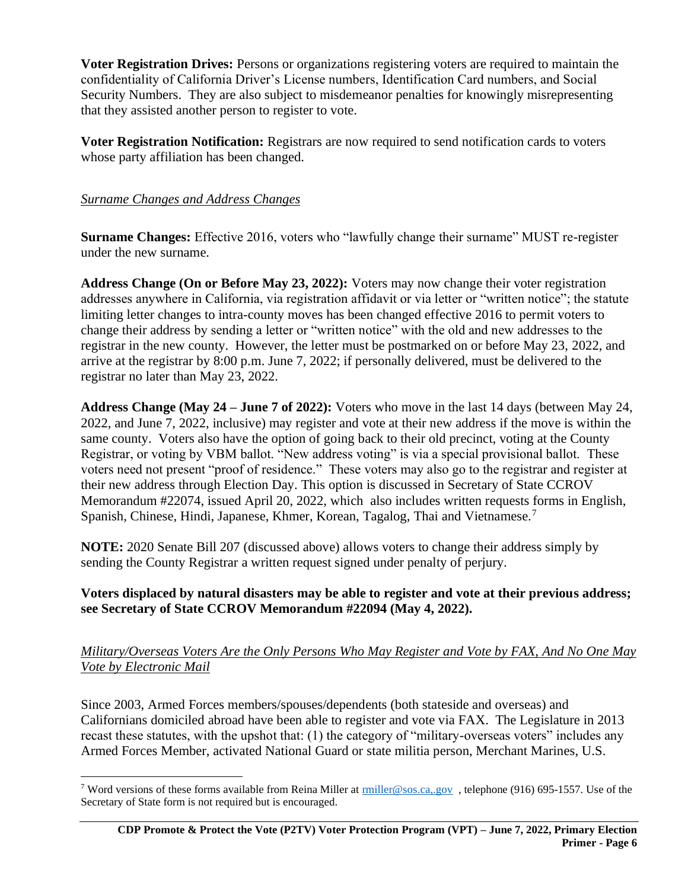**Voter Registration Drives:** Persons or organizations registering voters are required to maintain the confidentiality of California Driver's License numbers, Identification Card numbers, and Social Security Numbers. They are also subject to misdemeanor penalties for knowingly misrepresenting that they assisted another person to register to vote.

**Voter Registration Notification:** Registrars are now required to send notification cards to voters whose party affiliation has been changed.

## <span id="page-5-0"></span>*Surname Changes and Address Changes*

**Surname Changes:** Effective 2016, voters who "lawfully change their surname" MUST re-register under the new surname.

**Address Change (On or Before May 23, 2022):** Voters may now change their voter registration addresses anywhere in California, via registration affidavit or via letter or "written notice"; the statute limiting letter changes to intra-county moves has been changed effective 2016 to permit voters to change their address by sending a letter or "written notice" with the old and new addresses to the registrar in the new county. However, the letter must be postmarked on or before May 23, 2022, and arrive at the registrar by 8:00 p.m. June 7, 2022; if personally delivered, must be delivered to the registrar no later than May 23, 2022.

**Address Change (May 24 – June 7 of 2022):** Voters who move in the last 14 days (between May 24, 2022, and June 7, 2022, inclusive) may register and vote at their new address if the move is within the same county. Voters also have the option of going back to their old precinct, voting at the County Registrar, or voting by VBM ballot. "New address voting" is via a special provisional ballot. These voters need not present "proof of residence." These voters may also go to the registrar and register at their new address through Election Day. This option is discussed in Secretary of State CCROV Memorandum #22074, issued April 20, 2022, which also includes written requests forms in English, Spanish, Chinese, Hindi, Japanese, Khmer, Korean, Tagalog, Thai and Vietnamese.<sup>7</sup>

**NOTE:** 2020 Senate Bill 207 (discussed above) allows voters to change their address simply by sending the County Registrar a written request signed under penalty of perjury.

## **Voters displaced by natural disasters may be able to register and vote at their previous address; see Secretary of State CCROV Memorandum #22094 (May 4, 2022).**

#### <span id="page-5-1"></span>*Military/Overseas Voters Are the Only Persons Who May Register and Vote by FAX, And No One May Vote by Electronic Mail*

Since 2003, Armed Forces members/spouses/dependents (both stateside and overseas) and Californians domiciled abroad have been able to register and vote via FAX. The Legislature in 2013 recast these statutes, with the upshot that: (1) the category of "military-overseas voters" includes any Armed Forces Member, activated National Guard or state militia person, Merchant Marines, U.S.

<sup>&</sup>lt;sup>7</sup> Word versions of these forms available from Reina Miller at  $\frac{\text{miller@sos.}ca.,gov}{\text{miller@sos.}ca.,gov}$ , telephone (916) 695-1557. Use of the Secretary of State form is not required but is encouraged.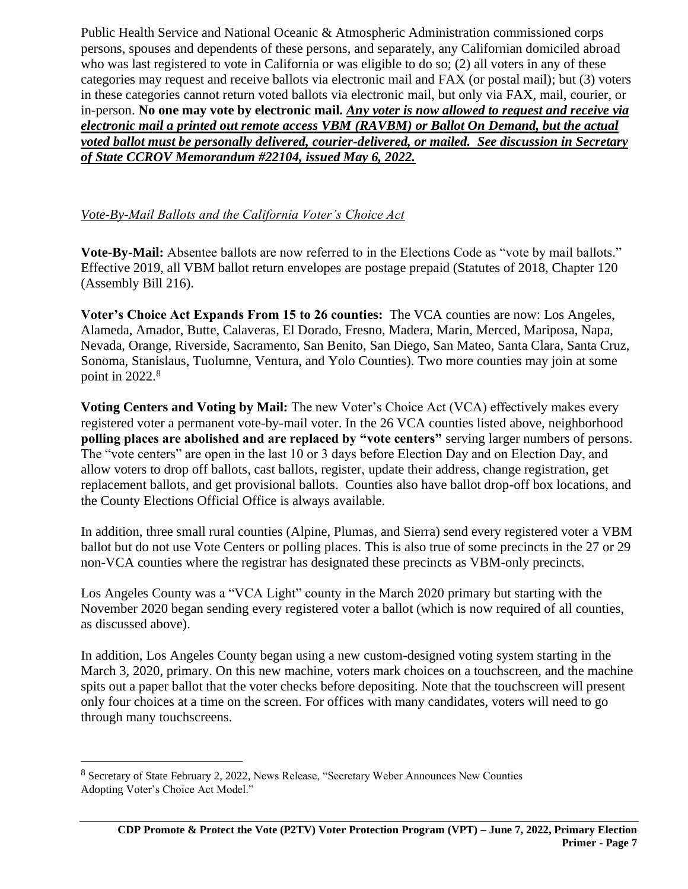Public Health Service and National Oceanic & Atmospheric Administration commissioned corps persons, spouses and dependents of these persons, and separately, any Californian domiciled abroad who was last registered to vote in California or was eligible to do so; (2) all voters in any of these categories may request and receive ballots via electronic mail and FAX (or postal mail); but (3) voters in these categories cannot return voted ballots via electronic mail, but only via FAX, mail, courier, or in-person. **No one may vote by electronic mail.** *Any voter is now allowed to request and receive via electronic mail a printed out remote access VBM (RAVBM) or Ballot On Demand, but the actual voted ballot must be personally delivered, courier-delivered, or mailed. See discussion in Secretary of State CCROV Memorandum #22104, issued May 6, 2022.* 

# <span id="page-6-0"></span>*Vote-By-Mail Ballots and the California Voter's Choice Act*

**Vote-By-Mail:** Absentee ballots are now referred to in the Elections Code as "vote by mail ballots." Effective 2019, all VBM ballot return envelopes are postage prepaid (Statutes of 2018, Chapter 120 (Assembly Bill 216).

**Voter's Choice Act Expands From 15 to 26 counties:** The VCA counties are now: Los Angeles, Alameda, Amador, Butte, Calaveras, El Dorado, Fresno, Madera, Marin, Merced, Mariposa, Napa, Nevada, Orange, Riverside, Sacramento, San Benito, San Diego, San Mateo, Santa Clara, Santa Cruz, Sonoma, Stanislaus, Tuolumne, Ventura, and Yolo Counties). Two more counties may join at some point in  $2022.<sup>8</sup>$ 

**Voting Centers and Voting by Mail:** The new Voter's Choice Act (VCA) effectively makes every registered voter a permanent vote-by-mail voter. In the 26 VCA counties listed above, neighborhood **polling places are abolished and are replaced by "vote centers"** serving larger numbers of persons. The "vote centers" are open in the last 10 or 3 days before Election Day and on Election Day, and allow voters to drop off ballots, cast ballots, register, update their address, change registration, get replacement ballots, and get provisional ballots. Counties also have ballot drop-off box locations, and the County Elections Official Office is always available.

In addition, three small rural counties (Alpine, Plumas, and Sierra) send every registered voter a VBM ballot but do not use Vote Centers or polling places. This is also true of some precincts in the 27 or 29 non-VCA counties where the registrar has designated these precincts as VBM-only precincts.

Los Angeles County was a "VCA Light" county in the March 2020 primary but starting with the November 2020 began sending every registered voter a ballot (which is now required of all counties, as discussed above).

In addition, Los Angeles County began using a new custom-designed voting system starting in the March 3, 2020, primary. On this new machine, voters mark choices on a touchscreen, and the machine spits out a paper ballot that the voter checks before depositing. Note that the touchscreen will present only four choices at a time on the screen. For offices with many candidates, voters will need to go through many touchscreens.

<sup>8</sup> Secretary of State February 2, 2022, News Release, "Secretary Weber Announces New Counties Adopting Voter's Choice Act Model."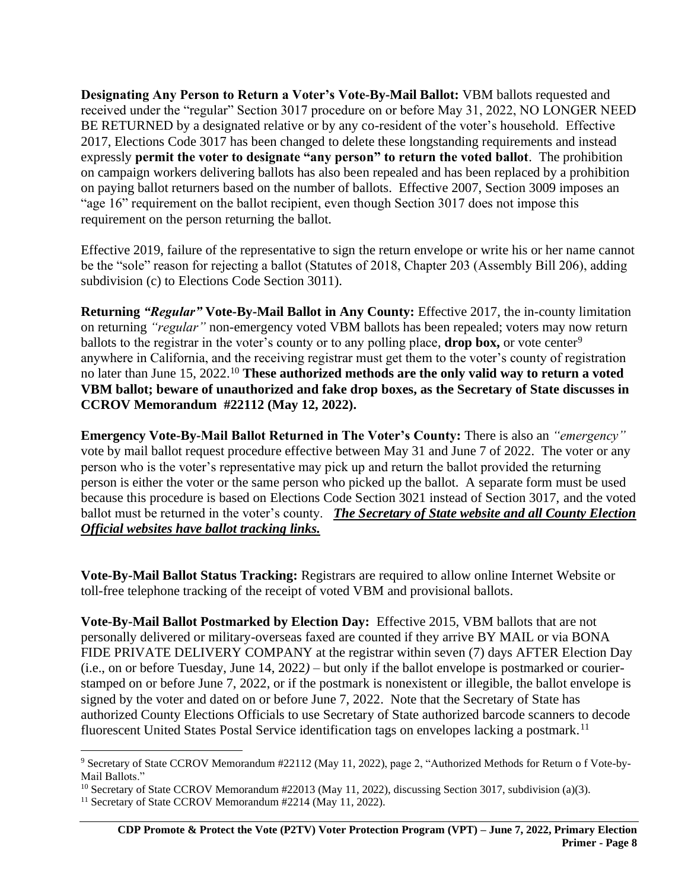**Designating Any Person to Return a Voter's Vote-By-Mail Ballot:** VBM ballots requested and received under the "regular" Section 3017 procedure on or before May 31, 2022, NO LONGER NEED BE RETURNED by a designated relative or by any co-resident of the voter's household. Effective 2017, Elections Code 3017 has been changed to delete these longstanding requirements and instead expressly **permit the voter to designate "any person" to return the voted ballot**. The prohibition on campaign workers delivering ballots has also been repealed and has been replaced by a prohibition on paying ballot returners based on the number of ballots. Effective 2007, Section 3009 imposes an "age 16" requirement on the ballot recipient, even though Section 3017 does not impose this requirement on the person returning the ballot.

Effective 2019, failure of the representative to sign the return envelope or write his or her name cannot be the "sole" reason for rejecting a ballot (Statutes of 2018, Chapter 203 (Assembly Bill 206), adding subdivision (c) to Elections Code Section 3011).

**Returning** *"Regular"* **Vote-By-Mail Ballot in Any County:** Effective 2017, the in-county limitation on returning *"regular"* non-emergency voted VBM ballots has been repealed; voters may now return ballots to the registrar in the voter's county or to any polling place, **drop box**, or vote center<sup>9</sup> anywhere in California, and the receiving registrar must get them to the voter's county of registration no later than June 15, 2022.<sup>10</sup> **These authorized methods are the only valid way to return a voted VBM ballot; beware of unauthorized and fake drop boxes, as the Secretary of State discusses in CCROV Memorandum #22112 (May 12, 2022).**

**Emergency Vote-By-Mail Ballot Returned in The Voter's County:** There is also an *"emergency"* vote by mail ballot request procedure effective between May 31 and June 7 of 2022. The voter or any person who is the voter's representative may pick up and return the ballot provided the returning person is either the voter or the same person who picked up the ballot. A separate form must be used because this procedure is based on Elections Code Section 3021 instead of Section 3017, and the voted ballot must be returned in the voter's county. *The Secretary of State website and all County Election Official websites have ballot tracking links.* 

**Vote-By-Mail Ballot Status Tracking:** Registrars are required to allow online Internet Website or toll-free telephone tracking of the receipt of voted VBM and provisional ballots.

**Vote-By-Mail Ballot Postmarked by Election Day:** Effective 2015, VBM ballots that are not personally delivered or military-overseas faxed are counted if they arrive BY MAIL or via BONA FIDE PRIVATE DELIVERY COMPANY at the registrar within seven (7) days AFTER Election Day (i.e., on or before Tuesday, June 14, 2022*)* – but only if the ballot envelope is postmarked or courierstamped on or before June 7, 2022, or if the postmark is nonexistent or illegible, the ballot envelope is signed by the voter and dated on or before June 7, 2022. Note that the Secretary of State has authorized County Elections Officials to use Secretary of State authorized barcode scanners to decode fluorescent United States Postal Service identification tags on envelopes lacking a postmark.<sup>11</sup>

<sup>9</sup> Secretary of State CCROV Memorandum #22112 (May 11, 2022), page 2, "Authorized Methods for Return o f Vote-by-Mail Ballots."

<sup>&</sup>lt;sup>10</sup> Secretary of State CCROV Memorandum #22013 (May 11, 2022), discussing Section 3017, subdivision (a)(3).

<sup>&</sup>lt;sup>11</sup> Secretary of State CCROV Memorandum #2214 (May 11, 2022).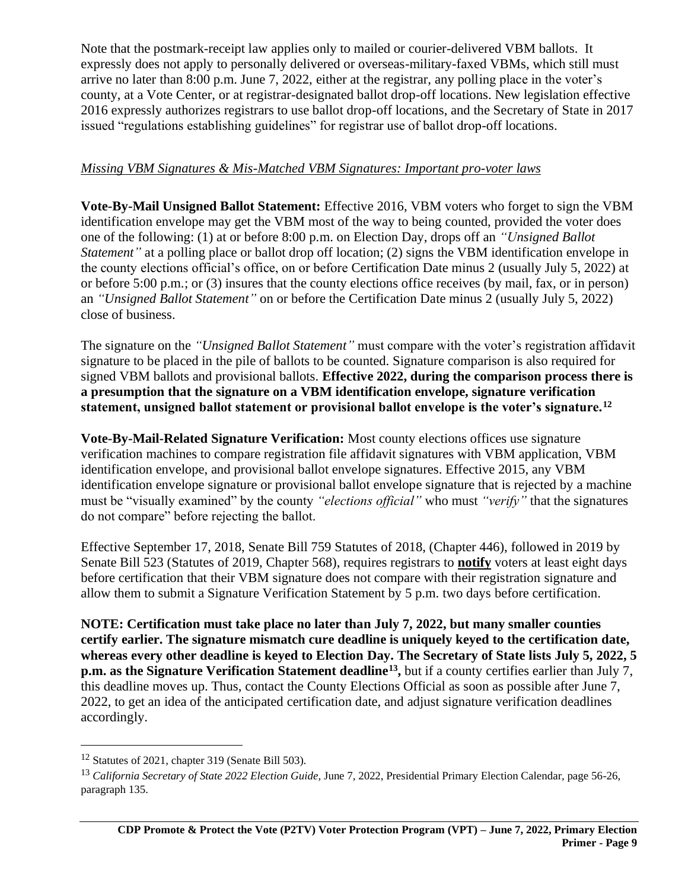Note that the postmark-receipt law applies only to mailed or courier-delivered VBM ballots. It expressly does not apply to personally delivered or overseas-military-faxed VBMs, which still must arrive no later than 8:00 p.m. June 7, 2022, either at the registrar, any polling place in the voter's county, at a Vote Center, or at registrar-designated ballot drop-off locations. New legislation effective 2016 expressly authorizes registrars to use ballot drop-off locations, and the Secretary of State in 2017 issued "regulations establishing guidelines" for registrar use of ballot drop-off locations.

## <span id="page-8-0"></span>*Missing VBM Signatures & Mis-Matched VBM Signatures: Important pro-voter laws*

**Vote-By-Mail Unsigned Ballot Statement:** Effective 2016, VBM voters who forget to sign the VBM identification envelope may get the VBM most of the way to being counted, provided the voter does one of the following: (1) at or before 8:00 p.m. on Election Day, drops off an *"Unsigned Ballot Statement*" at a polling place or ballot drop off location; (2) signs the VBM identification envelope in the county elections official's office, on or before Certification Date minus 2 (usually July 5, 2022) at or before 5:00 p.m.; or (3) insures that the county elections office receives (by mail, fax, or in person) an *"Unsigned Ballot Statement"* on or before the Certification Date minus 2 (usually July 5, 2022) close of business.

The signature on the *"Unsigned Ballot Statement"* must compare with the voter's registration affidavit signature to be placed in the pile of ballots to be counted. Signature comparison is also required for signed VBM ballots and provisional ballots. **Effective 2022, during the comparison process there is a presumption that the signature on a VBM identification envelope, signature verification statement, unsigned ballot statement or provisional ballot envelope is the voter's signature.<sup>12</sup>**

**Vote-By-Mail-Related Signature Verification:** Most county elections offices use signature verification machines to compare registration file affidavit signatures with VBM application, VBM identification envelope, and provisional ballot envelope signatures. Effective 2015, any VBM identification envelope signature or provisional ballot envelope signature that is rejected by a machine must be "visually examined" by the county *"elections official"* who must *"verify"* that the signatures do not compare" before rejecting the ballot.

Effective September 17, 2018, Senate Bill 759 Statutes of 2018, (Chapter 446), followed in 2019 by Senate Bill 523 (Statutes of 2019, Chapter 568), requires registrars to **notify** voters at least eight days before certification that their VBM signature does not compare with their registration signature and allow them to submit a Signature Verification Statement by 5 p.m. two days before certification.

**NOTE: Certification must take place no later than July 7, 2022, but many smaller counties certify earlier. The signature mismatch cure deadline is uniquely keyed to the certification date, whereas every other deadline is keyed to Election Day. The Secretary of State lists July 5, 2022, 5 p.m. as the Signature Verification Statement deadline<sup>13</sup>, but if a county certifies earlier than July 7,** this deadline moves up. Thus, contact the County Elections Official as soon as possible after June 7, 2022, to get an idea of the anticipated certification date, and adjust signature verification deadlines accordingly.

<sup>12</sup> Statutes of 2021, chapter 319 (Senate Bill 503).

<sup>13</sup> *California Secretary of State 2022 Election Guide,* June 7, 2022, Presidential Primary Election Calendar, page 56-26, paragraph 135.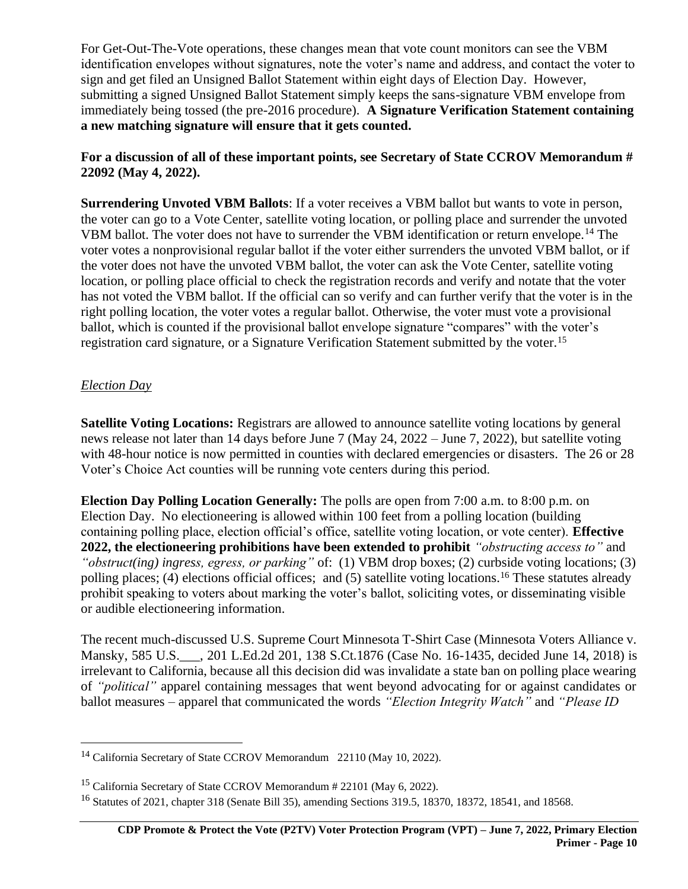For Get-Out-The-Vote operations, these changes mean that vote count monitors can see the VBM identification envelopes without signatures, note the voter's name and address, and contact the voter to sign and get filed an Unsigned Ballot Statement within eight days of Election Day. However, submitting a signed Unsigned Ballot Statement simply keeps the sans-signature VBM envelope from immediately being tossed (the pre-2016 procedure). **A Signature Verification Statement containing a new matching signature will ensure that it gets counted.** 

**For a discussion of all of these important points, see Secretary of State CCROV Memorandum # 22092 (May 4, 2022).**

**Surrendering Unvoted VBM Ballots**: If a voter receives a VBM ballot but wants to vote in person, the voter can go to a Vote Center, satellite voting location, or polling place and surrender the unvoted VBM ballot. The voter does not have to surrender the VBM identification or return envelope.<sup>14</sup> The voter votes a nonprovisional regular ballot if the voter either surrenders the unvoted VBM ballot, or if the voter does not have the unvoted VBM ballot, the voter can ask the Vote Center, satellite voting location, or polling place official to check the registration records and verify and notate that the voter has not voted the VBM ballot. If the official can so verify and can further verify that the voter is in the right polling location, the voter votes a regular ballot. Otherwise, the voter must vote a provisional ballot, which is counted if the provisional ballot envelope signature "compares" with the voter's registration card signature, or a Signature Verification Statement submitted by the voter.<sup>15</sup>

# <span id="page-9-0"></span>*Election Day*

**Satellite Voting Locations:** Registrars are allowed to announce satellite voting locations by general news release not later than 14 days before June 7 (May 24, 2022 – June 7, 2022), but satellite voting with 48-hour notice is now permitted in counties with declared emergencies or disasters. The 26 or 28 Voter's Choice Act counties will be running vote centers during this period.

**Election Day Polling Location Generally:** The polls are open from 7:00 a.m. to 8:00 p.m. on Election Day. No electioneering is allowed within 100 feet from a polling location (building containing polling place, election official's office, satellite voting location, or vote center). **Effective 2022, the electioneering prohibitions have been extended to prohibit** *"obstructing access to"* and *"obstruct(ing) ingress, egress, or parking"* of: (1) VBM drop boxes; (2) curbside voting locations; (3) polling places; (4) elections official offices; and (5) satellite voting locations.<sup>16</sup> These statutes already prohibit speaking to voters about marking the voter's ballot, soliciting votes, or disseminating visible or audible electioneering information.

The recent much-discussed U.S. Supreme Court Minnesota T-Shirt Case (Minnesota Voters Alliance v. Mansky, 585 U.S. , 201 L.Ed.2d 201, 138 S.Ct.1876 (Case No. 16-1435, decided June 14, 2018) is irrelevant to California, because all this decision did was invalidate a state ban on polling place wearing of *"political"* apparel containing messages that went beyond advocating for or against candidates or ballot measures – apparel that communicated the words *"Election Integrity Watch"* and *"Please ID* 

<sup>14</sup> California Secretary of State CCROV Memorandum 22110 (May 10, 2022).

<sup>15</sup> California Secretary of State CCROV Memorandum # 22101 (May 6, 2022).

<sup>16</sup> Statutes of 2021, chapter 318 (Senate Bill 35), amending Sections 319.5, 18370, 18372, 18541, and 18568.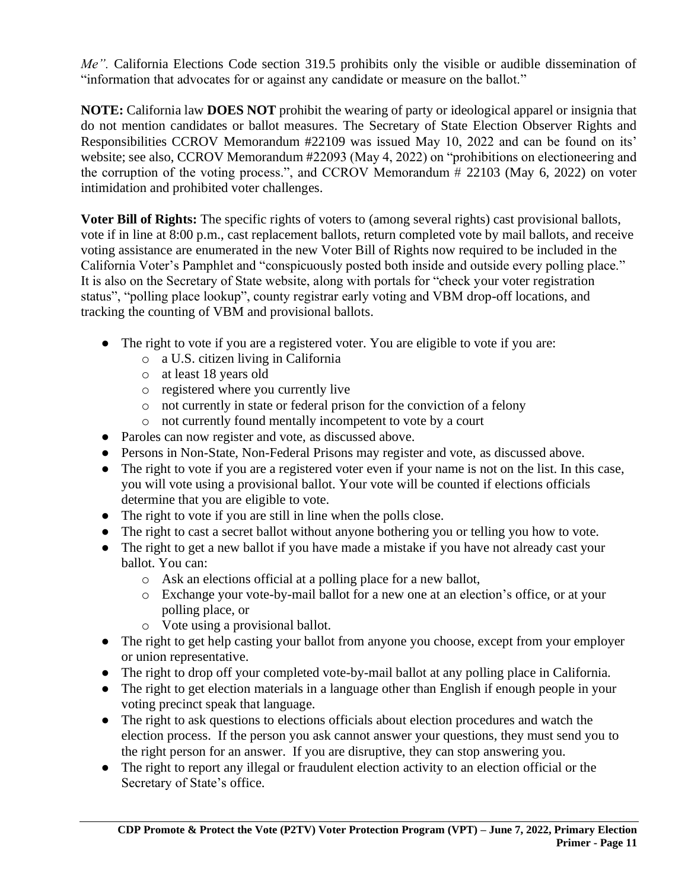*Me".* California Elections Code section 319.5 prohibits only the visible or audible dissemination of "information that advocates for or against any candidate or measure on the ballot."

**NOTE:** California law **DOES NOT** prohibit the wearing of party or ideological apparel or insignia that do not mention candidates or ballot measures. The Secretary of State Election Observer Rights and Responsibilities CCROV Memorandum #22109 was issued May 10, 2022 and can be found on its' website; see also, CCROV Memorandum #22093 (May 4, 2022) on "prohibitions on electioneering and the corruption of the voting process.", and CCROV Memorandum # 22103 (May 6, 2022) on voter intimidation and prohibited voter challenges.

**Voter Bill of Rights:** The specific rights of voters to (among several rights) cast provisional ballots, vote if in line at 8:00 p.m., cast replacement ballots, return completed vote by mail ballots, and receive voting assistance are enumerated in the new Voter Bill of Rights now required to be included in the California Voter's Pamphlet and "conspicuously posted both inside and outside every polling place." It is also on the Secretary of State website, along with portals for "check your voter registration status", "polling place lookup", county registrar early voting and VBM drop-off locations, and tracking the counting of VBM and provisional ballots.

- The right to vote if you are a registered voter. You are eligible to vote if you are:
	- o a U.S. citizen living in California
	- o at least 18 years old
	- o registered where you currently live
	- o not currently in state or federal prison for the conviction of a felony
	- o not currently found mentally incompetent to vote by a court
- Paroles can now register and vote, as discussed above.
- Persons in Non-State, Non-Federal Prisons may register and vote, as discussed above.
- The right to vote if you are a registered voter even if your name is not on the list. In this case, you will vote using a provisional ballot. Your vote will be counted if elections officials determine that you are eligible to vote.
- The right to vote if you are still in line when the polls close.
- The right to cast a secret ballot without anyone bothering you or telling you how to vote.
- The right to get a new ballot if you have made a mistake if you have not already cast your ballot. You can:
	- o Ask an elections official at a polling place for a new ballot,
	- o Exchange your vote-by-mail ballot for a new one at an election's office, or at your polling place, or
	- o Vote using a provisional ballot.
- The right to get help casting your ballot from anyone you choose, except from your employer or union representative.
- The right to drop off your completed vote-by-mail ballot at any polling place in California.
- The right to get election materials in a language other than English if enough people in your voting precinct speak that language.
- The right to ask questions to elections officials about election procedures and watch the election process. If the person you ask cannot answer your questions, they must send you to the right person for an answer. If you are disruptive, they can stop answering you.
- The right to report any illegal or fraudulent election activity to an election official or the Secretary of State's office.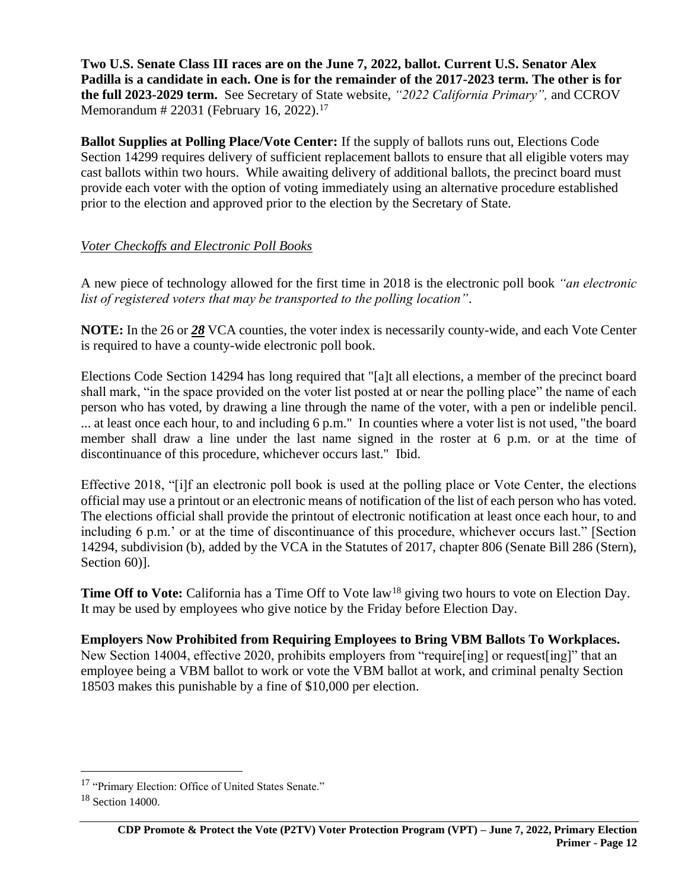**Two U.S. Senate Class III races are on the June 7, 2022, ballot. Current U.S. Senator Alex Padilla is a candidate in each. One is for the remainder of the 2017-2023 term. The other is for the full 2023-2029 term.** See Secretary of State website, *"2022 California Primary",* and CCROV Memorandum # 22031 (February 16, 2022).<sup>17</sup>

**Ballot Supplies at Polling Place/Vote Center:** If the supply of ballots runs out, Elections Code Section 14299 requires delivery of sufficient replacement ballots to ensure that all eligible voters may cast ballots within two hours. While awaiting delivery of additional ballots, the precinct board must provide each voter with the option of voting immediately using an alternative procedure established prior to the election and approved prior to the election by the Secretary of State.

## <span id="page-11-0"></span>*Voter Checkoffs and Electronic Poll Books*

A new piece of technology allowed for the first time in 2018 is the electronic poll book *"an electronic list of registered voters that may be transported to the polling location"*.

**NOTE:** In the 26 or *28* VCA counties, the voter index is necessarily county-wide, and each Vote Center is required to have a county-wide electronic poll book.

Elections Code Section 14294 has long required that "[a]t all elections, a member of the precinct board shall mark, "in the space provided on the voter list posted at or near the polling place" the name of each person who has voted, by drawing a line through the name of the voter, with a pen or indelible pencil. ... at least once each hour, to and including 6 p.m." In counties where a voter list is not used, "the board member shall draw a line under the last name signed in the roster at 6 p.m. or at the time of discontinuance of this procedure, whichever occurs last." Ibid.

Effective 2018, "[i]f an electronic poll book is used at the polling place or Vote Center, the elections official may use a printout or an electronic means of notification of the list of each person who has voted. The elections official shall provide the printout of electronic notification at least once each hour, to and including 6 p.m.' or at the time of discontinuance of this procedure, whichever occurs last." [Section 14294, subdivision (b), added by the VCA in the Statutes of 2017, chapter 806 (Senate Bill 286 (Stern), Section 60)].

**Time Off to Vote:** California has a Time Off to Vote law<sup>18</sup> giving two hours to vote on Election Day. It may be used by employees who give notice by the Friday before Election Day.

**Employers Now Prohibited from Requiring Employees to Bring VBM Ballots To Workplaces.** New Section 14004, effective 2020, prohibits employers from "require[ing] or request[ing]" that an employee being a VBM ballot to work or vote the VBM ballot at work, and criminal penalty Section 18503 makes this punishable by a fine of \$10,000 per election.

<sup>17</sup> "Primary Election: Office of United States Senate."

 $18$  Section 14000.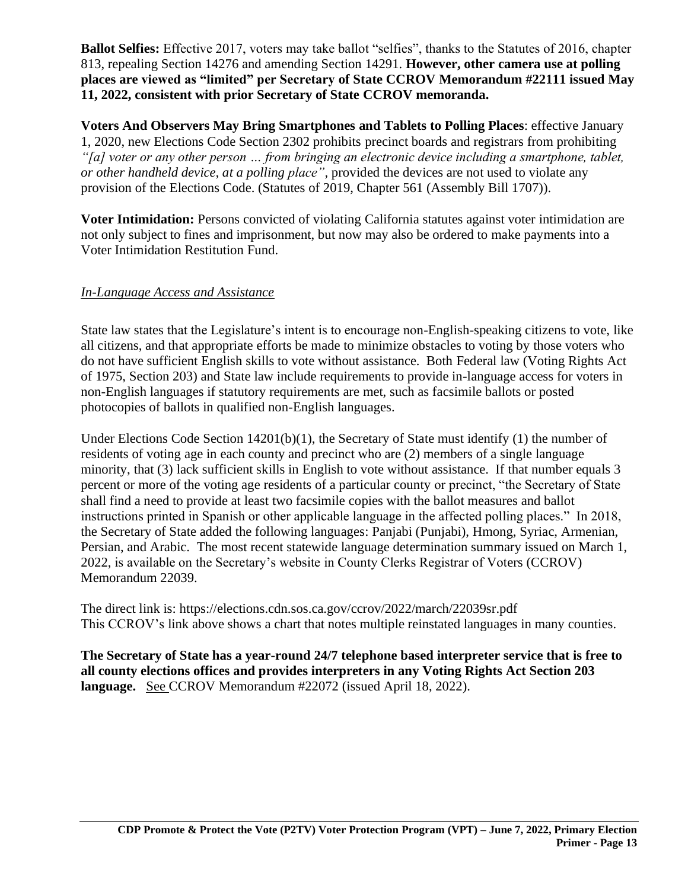**Ballot Selfies:** Effective 2017, voters may take ballot "selfies", thanks to the Statutes of 2016, chapter 813, repealing Section 14276 and amending Section 14291. **However, other camera use at polling places are viewed as "limited" per Secretary of State CCROV Memorandum #22111 issued May 11, 2022, consistent with prior Secretary of State CCROV memoranda.**

**Voters And Observers May Bring Smartphones and Tablets to Polling Places**: effective January 1, 2020, new Elections Code Section 2302 prohibits precinct boards and registrars from prohibiting *"[a] voter or any other person … from bringing an electronic device including a smartphone, tablet, or other handheld device, at a polling place",* provided the devices are not used to violate any provision of the Elections Code. (Statutes of 2019, Chapter 561 (Assembly Bill 1707)).

**Voter Intimidation:** Persons convicted of violating California statutes against voter intimidation are not only subject to fines and imprisonment, but now may also be ordered to make payments into a Voter Intimidation Restitution Fund.

## <span id="page-12-0"></span>*In-Language Access and Assistance*

State law states that the Legislature's intent is to encourage non-English-speaking citizens to vote, like all citizens, and that appropriate efforts be made to minimize obstacles to voting by those voters who do not have sufficient English skills to vote without assistance. Both Federal law (Voting Rights Act of 1975, Section 203) and State law include requirements to provide in-language access for voters in non-English languages if statutory requirements are met, such as facsimile ballots or posted photocopies of ballots in qualified non-English languages.

Under Elections Code Section 14201(b)(1), the Secretary of State must identify (1) the number of residents of voting age in each county and precinct who are (2) members of a single language minority, that (3) lack sufficient skills in English to vote without assistance. If that number equals 3 percent or more of the voting age residents of a particular county or precinct, "the Secretary of State shall find a need to provide at least two facsimile copies with the ballot measures and ballot instructions printed in Spanish or other applicable language in the affected polling places." In 2018, the Secretary of State added the following languages: Panjabi (Punjabi), Hmong, Syriac, Armenian, Persian, and Arabic. The most recent statewide language determination summary issued on March 1, 2022, is available on the Secretary's website in County Clerks Registrar of Voters (CCROV) Memorandum 22039.

The direct link is: https://elections.cdn.sos.ca.gov/ccrov/2022/march/22039sr.pdf This CCROV's link above shows a chart that notes multiple reinstated languages in many counties.

**The Secretary of State has a year-round 24/7 telephone based interpreter service that is free to all county elections offices and provides interpreters in any Voting Rights Act Section 203 language.** See CCROV Memorandum #22072 (issued April 18, 2022).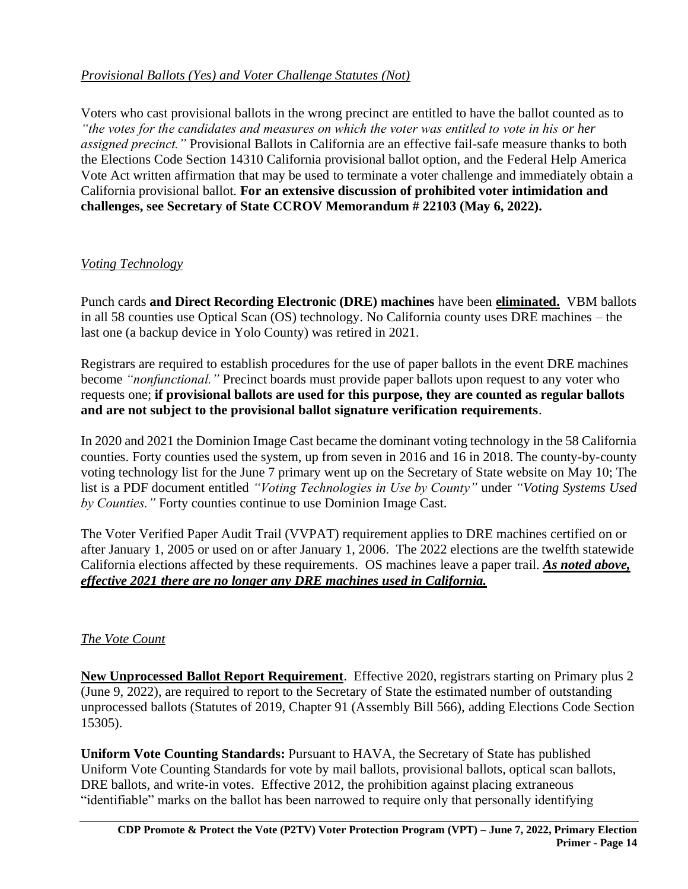# <span id="page-13-0"></span>*Provisional Ballots (Yes) and Voter Challenge Statutes (Not)*

Voters who cast provisional ballots in the wrong precinct are entitled to have the ballot counted as to *"the votes for the candidates and measures on which the voter was entitled to vote in his or her assigned precinct."* Provisional Ballots in California are an effective fail-safe measure thanks to both the Elections Code Section 14310 California provisional ballot option, and the Federal Help America Vote Act written affirmation that may be used to terminate a voter challenge and immediately obtain a California provisional ballot. **For an extensive discussion of prohibited voter intimidation and challenges, see Secretary of State CCROV Memorandum # 22103 (May 6, 2022).**

# <span id="page-13-1"></span>*Voting Technology*

Punch cards **and Direct Recording Electronic (DRE) machines** have been **eliminated.** VBM ballots in all 58 counties use Optical Scan (OS) technology. No California county uses DRE machines – the last one (a backup device in Yolo County) was retired in 2021.

Registrars are required to establish procedures for the use of paper ballots in the event DRE machines become *"nonfunctional."* Precinct boards must provide paper ballots upon request to any voter who requests one; **if provisional ballots are used for this purpose, they are counted as regular ballots and are not subject to the provisional ballot signature verification requirements**.

In 2020 and 2021 the Dominion Image Cast became the dominant voting technology in the 58 California counties. Forty counties used the system, up from seven in 2016 and 16 in 2018. The county-by-county voting technology list for the June 7 primary went up on the Secretary of State website on May 10; The list is a PDF document entitled *"Voting Technologies in Use by County"* under *"Voting Systems Used by Counties."* Forty counties continue to use Dominion Image Cast.

The Voter Verified Paper Audit Trail (VVPAT) requirement applies to DRE machines certified on or after January 1, 2005 or used on or after January 1, 2006. The 2022 elections are the twelfth statewide California elections affected by these requirements. OS machines leave a paper trail. *As noted above, effective 2021 there are no longer any DRE machines used in California.*

# <span id="page-13-2"></span>*The Vote Count*

**New Unprocessed Ballot Report Requirement**. Effective 2020, registrars starting on Primary plus 2 (June 9, 2022), are required to report to the Secretary of State the estimated number of outstanding unprocessed ballots (Statutes of 2019, Chapter 91 (Assembly Bill 566), adding Elections Code Section 15305).

**Uniform Vote Counting Standards:** Pursuant to HAVA, the Secretary of State has published Uniform Vote Counting Standards for vote by mail ballots, provisional ballots, optical scan ballots, DRE ballots, and write-in votes. Effective 2012, the prohibition against placing extraneous "identifiable" marks on the ballot has been narrowed to require only that personally identifying